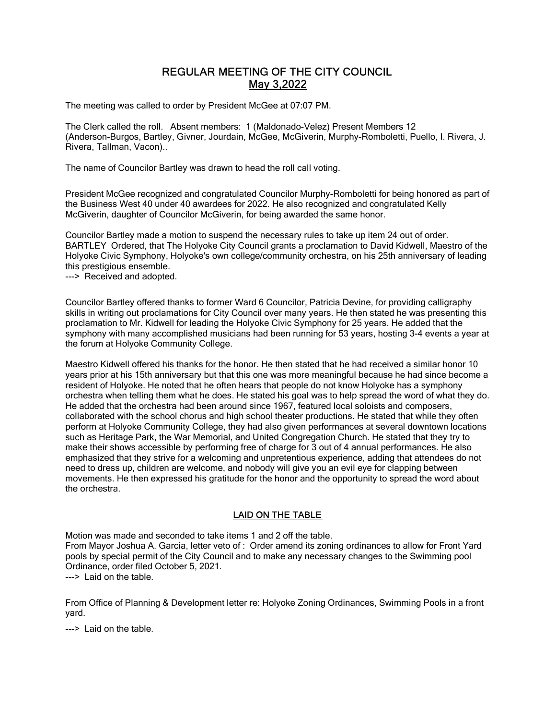# REGULAR MEETING OF THE CITY COUNCIL May 3,2022

The meeting was called to order by President McGee at 07:07 PM.

The Clerk called the roll. Absent members: 1 (Maldonado-Velez) Present Members 12 (Anderson-Burgos, Bartley, Givner, Jourdain, McGee, McGiverin, Murphy-Romboletti, Puello, I. Rivera, J. Rivera, Tallman, Vacon)..

The name of Councilor Bartley was drawn to head the roll call voting.

President McGee recognized and congratulated Councilor Murphy-Romboletti for being honored as part of the Business West 40 under 40 awardees for 2022. He also recognized and congratulated Kelly McGiverin, daughter of Councilor McGiverin, for being awarded the same honor.

Councilor Bartley made a motion to suspend the necessary rules to take up item 24 out of order. BARTLEY Ordered, that The Holyoke City Council grants a proclamation to David Kidwell, Maestro of the Holyoke Civic Symphony, Holyoke's own college/community orchestra, on his 25th anniversary of leading this prestigious ensemble.

---> Received and adopted.

Councilor Bartley offered thanks to former Ward 6 Councilor, Patricia Devine, for providing calligraphy skills in writing out proclamations for City Council over many years. He then stated he was presenting this proclamation to Mr. Kidwell for leading the Holyoke Civic Symphony for 25 years. He added that the symphony with many accomplished musicians had been running for 53 years, hosting 3-4 events a year at the forum at Holyoke Community College.

Maestro Kidwell offered his thanks for the honor. He then stated that he had received a similar honor 10 years prior at his 15th anniversary but that this one was more meaningful because he had since become a resident of Holyoke. He noted that he often hears that people do not know Holyoke has a symphony orchestra when telling them what he does. He stated his goal was to help spread the word of what they do. He added that the orchestra had been around since 1967, featured local soloists and composers, collaborated with the school chorus and high school theater productions. He stated that while they often perform at Holyoke Community College, they had also given performances at several downtown locations such as Heritage Park, the War Memorial, and United Congregation Church. He stated that they try to make their shows accessible by performing free of charge for 3 out of 4 annual performances. He also emphasized that they strive for a welcoming and unpretentious experience, adding that attendees do not need to dress up, children are welcome, and nobody will give you an evil eye for clapping between movements. He then expressed his gratitude for the honor and the opportunity to spread the word about the orchestra.

# LAID ON THE TABLE

Motion was made and seconded to take items 1 and 2 off the table. From Mayor Joshua A. Garcia, letter veto of : Order amend its zoning ordinances to allow for Front Yard pools by special permit of the City Council and to make any necessary changes to the Swimming pool Ordinance, order filed October 5, 2021. ---> Laid on the table.

From Office of Planning & Development letter re: Holyoke Zoning Ordinances, Swimming Pools in a front yard.

---> Laid on the table.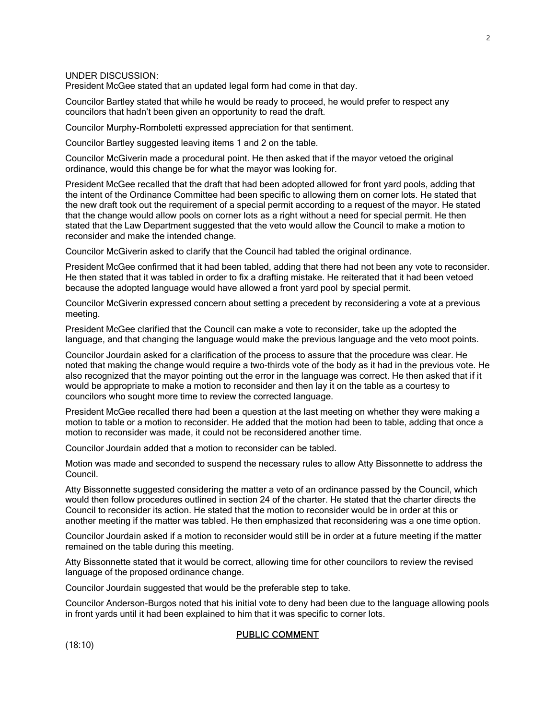UNDER DISCUSSION:

President McGee stated that an updated legal form had come in that day.

Councilor Bartley stated that while he would be ready to proceed, he would prefer to respect any councilors that hadn't been given an opportunity to read the draft.

Councilor Murphy-Romboletti expressed appreciation for that sentiment.

Councilor Bartley suggested leaving items 1 and 2 on the table.

Councilor McGiverin made a procedural point. He then asked that if the mayor vetoed the original ordinance, would this change be for what the mayor was looking for.

President McGee recalled that the draft that had been adopted allowed for front yard pools, adding that the intent of the Ordinance Committee had been specific to allowing them on corner lots. He stated that the new draft took out the requirement of a special permit according to a request of the mayor. He stated that the change would allow pools on corner lots as a right without a need for special permit. He then stated that the Law Department suggested that the veto would allow the Council to make a motion to reconsider and make the intended change.

Councilor McGiverin asked to clarify that the Council had tabled the original ordinance.

President McGee confirmed that it had been tabled, adding that there had not been any vote to reconsider. He then stated that it was tabled in order to fix a drafting mistake. He reiterated that it had been vetoed because the adopted language would have allowed a front yard pool by special permit.

Councilor McGiverin expressed concern about setting a precedent by reconsidering a vote at a previous meeting.

President McGee clarified that the Council can make a vote to reconsider, take up the adopted the language, and that changing the language would make the previous language and the veto moot points.

Councilor Jourdain asked for a clarification of the process to assure that the procedure was clear. He noted that making the change would require a two-thirds vote of the body as it had in the previous vote. He also recognized that the mayor pointing out the error in the language was correct. He then asked that if it would be appropriate to make a motion to reconsider and then lay it on the table as a courtesy to councilors who sought more time to review the corrected language.

President McGee recalled there had been a question at the last meeting on whether they were making a motion to table or a motion to reconsider. He added that the motion had been to table, adding that once a motion to reconsider was made, it could not be reconsidered another time.

Councilor Jourdain added that a motion to reconsider can be tabled.

Motion was made and seconded to suspend the necessary rules to allow Atty Bissonnette to address the Council.

Atty Bissonnette suggested considering the matter a veto of an ordinance passed by the Council, which would then follow procedures outlined in section 24 of the charter. He stated that the charter directs the Council to reconsider its action. He stated that the motion to reconsider would be in order at this or another meeting if the matter was tabled. He then emphasized that reconsidering was a one time option.

Councilor Jourdain asked if a motion to reconsider would still be in order at a future meeting if the matter remained on the table during this meeting.

Atty Bissonnette stated that it would be correct, allowing time for other councilors to review the revised language of the proposed ordinance change.

Councilor Jourdain suggested that would be the preferable step to take.

Councilor Anderson-Burgos noted that his initial vote to deny had been due to the language allowing pools in front yards until it had been explained to him that it was specific to corner lots.

# PUBLIC COMMENT

(18:10)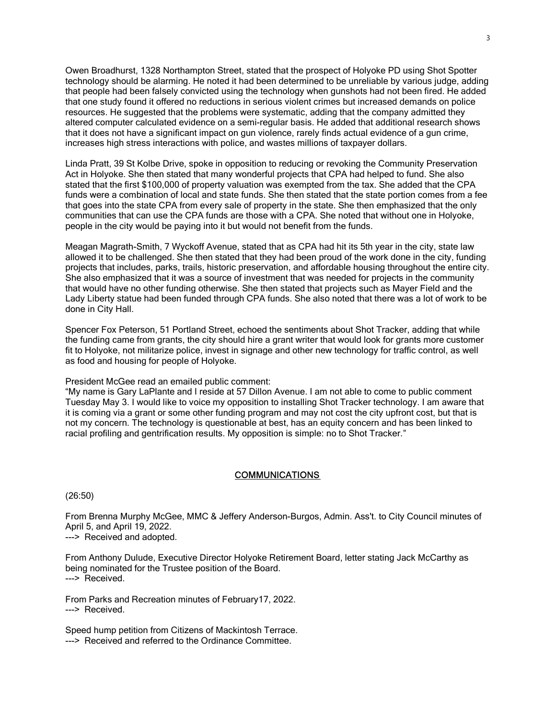Owen Broadhurst, 1328 Northampton Street, stated that the prospect of Holyoke PD using Shot Spotter technology should be alarming. He noted it had been determined to be unreliable by various judge, adding that people had been falsely convicted using the technology when gunshots had not been fired. He added that one study found it offered no reductions in serious violent crimes but increased demands on police resources. He suggested that the problems were systematic, adding that the company admitted they altered computer calculated evidence on a semi-regular basis. He added that additional research shows that it does not have a significant impact on gun violence, rarely finds actual evidence of a gun crime, increases high stress interactions with police, and wastes millions of taxpayer dollars.

Linda Pratt, 39 St Kolbe Drive, spoke in opposition to reducing or revoking the Community Preservation Act in Holyoke. She then stated that many wonderful projects that CPA had helped to fund. She also stated that the first \$100,000 of property valuation was exempted from the tax. She added that the CPA funds were a combination of local and state funds. She then stated that the state portion comes from a fee that goes into the state CPA from every sale of property in the state. She then emphasized that the only communities that can use the CPA funds are those with a CPA. She noted that without one in Holyoke, people in the city would be paying into it but would not benefit from the funds.

Meagan Magrath-Smith, 7 Wyckoff Avenue, stated that as CPA had hit its 5th year in the city, state law allowed it to be challenged. She then stated that they had been proud of the work done in the city, funding projects that includes, parks, trails, historic preservation, and affordable housing throughout the entire city. She also emphasized that it was a source of investment that was needed for projects in the community that would have no other funding otherwise. She then stated that projects such as Mayer Field and the Lady Liberty statue had been funded through CPA funds. She also noted that there was a lot of work to be done in City Hall.

Spencer Fox Peterson, 51 Portland Street, echoed the sentiments about Shot Tracker, adding that while the funding came from grants, the city should hire a grant writer that would look for grants more customer fit to Holyoke, not militarize police, invest in signage and other new technology for traffic control, as well as food and housing for people of Holyoke.

President McGee read an emailed public comment:

"My name is Gary LaPlante and I reside at 57 Dillon Avenue. I am not able to come to public comment Tuesday May 3. I would like to voice my opposition to installing Shot Tracker technology. I am aware that it is coming via a grant or some other funding program and may not cost the city upfront cost, but that is not my concern. The technology is questionable at best, has an equity concern and has been linked to racial profiling and gentrification results. My opposition is simple: no to Shot Tracker."

# **COMMUNICATIONS**

(26:50)

From Brenna Murphy McGee, MMC & Jeffery Anderson-Burgos, Admin. Ass't. to City Council minutes of April 5, and April 19, 2022.

---> Received and adopted.

From Anthony Dulude, Executive Director Holyoke Retirement Board, letter stating Jack McCarthy as being nominated for the Trustee position of the Board. ---> Received.

From Parks and Recreation minutes of February17, 2022. ---> Received.

Speed hump petition from Citizens of Mackintosh Terrace. ---> Received and referred to the Ordinance Committee.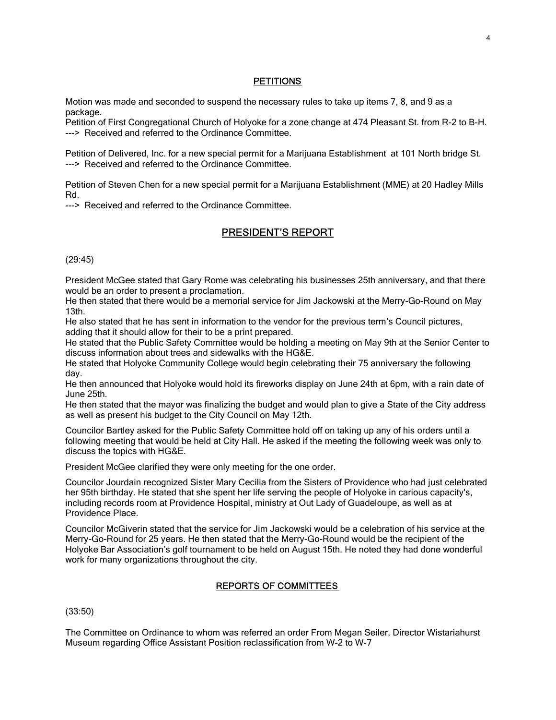# **PETITIONS**

Motion was made and seconded to suspend the necessary rules to take up items 7, 8, and 9 as a package.

Petition of First Congregational Church of Holyoke for a zone change at 474 Pleasant St. from R-2 to B-H. ---> Received and referred to the Ordinance Committee.

Petition of Delivered, Inc. for a new special permit for a Marijuana Establishment at 101 North bridge St. ---> Received and referred to the Ordinance Committee.

Petition of Steven Chen for a new special permit for a Marijuana Establishment (MME) at 20 Hadley Mills Rd.

---> Received and referred to the Ordinance Committee.

# PRESIDENT 'S REPORT

(29:45)

President McGee stated that Gary Rome was celebrating his businesses 25th anniversary, and that there would be an order to present a proclamation.

He then stated that there would be a memorial service for Jim Jackowski at the Merry-Go-Round on May 13th.

He also stated that he has sent in information to the vendor for the previous term's Council pictures, adding that it should allow for their to be a print prepared.

He stated that the Public Safety Committee would be holding a meeting on May 9th at the Senior Center to discuss information about trees and sidewalks with the HG&E.

He stated that Holyoke Community College would begin celebrating their 75 anniversary the following day.

He then announced that Holyoke would hold its fireworks display on June 24th at 6pm, with a rain date of June 25th.

He then stated that the mayor was finalizing the budget and would plan to give a State of the City address as well as present his budget to the City Council on May 12th.

Councilor Bartley asked for the Public Safety Committee hold off on taking up any of his orders until a following meeting that would be held at City Hall. He asked if the meeting the following week was only to discuss the topics with HG&E.

President McGee clarified they were only meeting for the one order.

Councilor Jourdain recognized Sister Mary Cecilia from the Sisters of Providence who had just celebrated her 95th birthday. He stated that she spent her life serving the people of Holyoke in carious capacity's, including records room at Providence Hospital, ministry at Out Lady of Guadeloupe, as well as at Providence Place.

Councilor McGiverin stated that the service for Jim Jackowski would be a celebration of his service at the Merry-Go-Round for 25 years. He then stated that the Merry-Go-Round would be the recipient of the Holyoke Bar Association's golf tournament to be held on August 15th. He noted they had done wonderful work for many organizations throughout the city.

## REPORTS OF COMMITTEES

(33:50)

The Committee on Ordinance to whom was referred an order From Megan Seiler, Director Wistariahurst Museum regarding Office Assistant Position reclassification from W-2 to W-7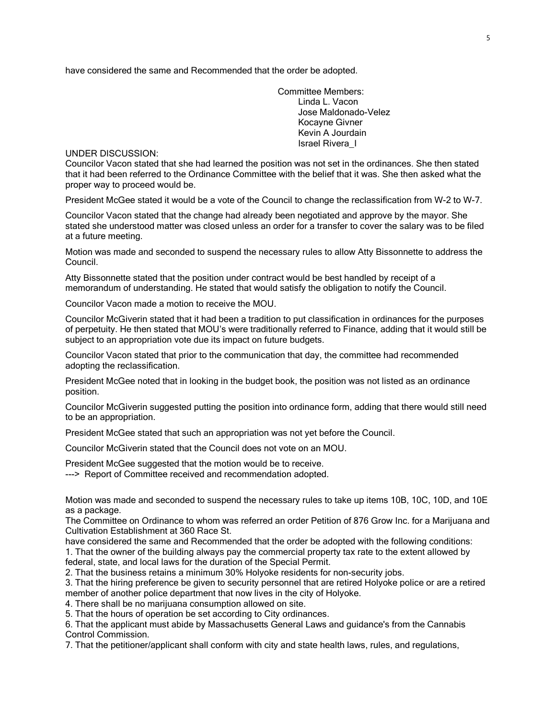have considered the same and Recommended that the order be adopted.

Committee Members: Linda L. Vacon Jose Maldonado-Velez Kocayne Givner Kevin A Jourdain Israel Rivera\_I

UNDER DISCUSSION:

Councilor Vacon stated that she had learned the position was not set in the ordinances. She then stated that it had been referred to the Ordinance Committee with the belief that it was. She then asked what the proper way to proceed would be.

President McGee stated it would be a vote of the Council to change the reclassification from W-2 to W-7.

Councilor Vacon stated that the change had already been negotiated and approve by the mayor. She stated she understood matter was closed unless an order for a transfer to cover the salary was to be filed at a future meeting.

Motion was made and seconded to suspend the necessary rules to allow Atty Bissonnette to address the Council.

Atty Bissonnette stated that the position under contract would be best handled by receipt of a memorandum of understanding. He stated that would satisfy the obligation to notify the Council.

Councilor Vacon made a motion to receive the MOU.

Councilor McGiverin stated that it had been a tradition to put classification in ordinances for the purposes of perpetuity. He then stated that MOU's were traditionally referred to Finance, adding that it would still be subject to an appropriation vote due its impact on future budgets.

Councilor Vacon stated that prior to the communication that day, the committee had recommended adopting the reclassification.

President McGee noted that in looking in the budget book, the position was not listed as an ordinance position.

Councilor McGiverin suggested putting the position into ordinance form, adding that there would still need to be an appropriation.

President McGee stated that such an appropriation was not yet before the Council.

Councilor McGiverin stated that the Council does not vote on an MOU.

President McGee suggested that the motion would be to receive.

---> Report of Committee received and recommendation adopted.

Motion was made and seconded to suspend the necessary rules to take up items 10B, 10C, 10D, and 10E as a package.

The Committee on Ordinance to whom was referred an order Petition of 876 Grow Inc. for a Marijuana and Cultivation Establishment at 360 Race St.

have considered the same and Recommended that the order be adopted with the following conditions: 1. That the owner of the building always pay the commercial property tax rate to the extent allowed by federal, state, and local laws for the duration of the Special Permit.

2. That the business retains a minimum 30% Holyoke residents for non-security jobs.

3. That the hiring preference be given to security personnel that are retired Holyoke police or are a retired member of another police department that now lives in the city of Holyoke.

4. There shall be no marijuana consumption allowed on site.

5. That the hours of operation be set according to City ordinances.

6. That the applicant must abide by Massachusetts General Laws and guidance's from the Cannabis Control Commission.

7. That the petitioner/applicant shall conform with city and state health laws, rules, and regulations,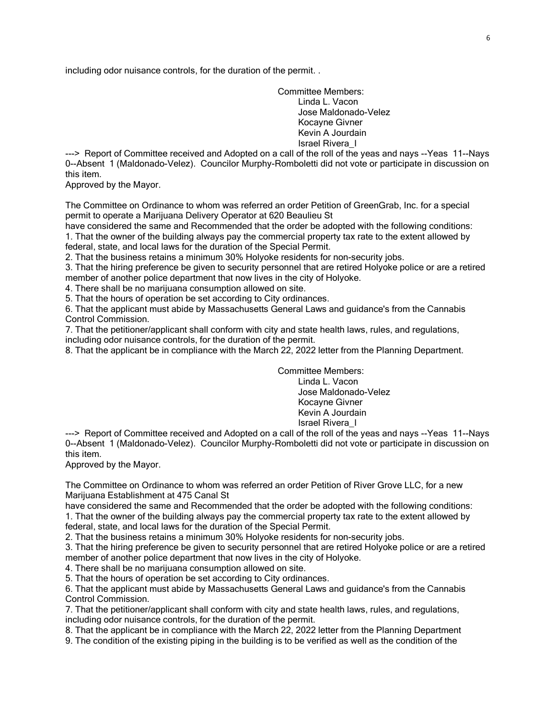including odor nuisance controls, for the duration of the permit. .

Committee Members: Linda L. Vacon Jose Maldonado-Velez Kocayne Givner Kevin A Jourdain Israel Rivera\_I

---> Report of Committee received and Adopted on a call of the roll of the yeas and nays --Yeas 11--Nays 0--Absent 1 (Maldonado-Velez). Councilor Murphy-Romboletti did not vote or participate in discussion on this item.

Approved by the Mayor.

The Committee on Ordinance to whom was referred an order Petition of GreenGrab, Inc. for a special permit to operate a Marijuana Delivery Operator at 620 Beaulieu St

have considered the same and Recommended that the order be adopted with the following conditions: 1. That the owner of the building always pay the commercial property tax rate to the extent allowed by federal, state, and local laws for the duration of the Special Permit.

2. That the business retains a minimum 30% Holyoke residents for non-security jobs.

3. That the hiring preference be given to security personnel that are retired Holyoke police or are a retired member of another police department that now lives in the city of Holyoke.

4. There shall be no marijuana consumption allowed on site.

5. That the hours of operation be set according to City ordinances.

6. That the applicant must abide by Massachusetts General Laws and guidance's from the Cannabis Control Commission.

7. That the petitioner/applicant shall conform with city and state health laws, rules, and regulations, including odor nuisance controls, for the duration of the permit.

8. That the applicant be in compliance with the March 22, 2022 letter from the Planning Department.

Committee Members: Linda L. Vacon Jose Maldonado-Velez Kocayne Givner Kevin A Jourdain Israel Rivera\_I

---> Report of Committee received and Adopted on a call of the roll of the yeas and nays --Yeas 11--Nays 0--Absent 1 (Maldonado-Velez). Councilor Murphy-Romboletti did not vote or participate in discussion on this item.

Approved by the Mayor.

The Committee on Ordinance to whom was referred an order Petition of River Grove LLC, for a new Marijuana Establishment at 475 Canal St

have considered the same and Recommended that the order be adopted with the following conditions:

1. That the owner of the building always pay the commercial property tax rate to the extent allowed by federal, state, and local laws for the duration of the Special Permit.

2. That the business retains a minimum 30% Holyoke residents for non-security jobs.

3. That the hiring preference be given to security personnel that are retired Holyoke police or are a retired member of another police department that now lives in the city of Holyoke.

4. There shall be no marijuana consumption allowed on site.

5. That the hours of operation be set according to City ordinances.

6. That the applicant must abide by Massachusetts General Laws and guidance's from the Cannabis Control Commission.

7. That the petitioner/applicant shall conform with city and state health laws, rules, and regulations, including odor nuisance controls, for the duration of the permit.

8. That the applicant be in compliance with the March 22, 2022 letter from the Planning Department

9. The condition of the existing piping in the building is to be verified as well as the condition of the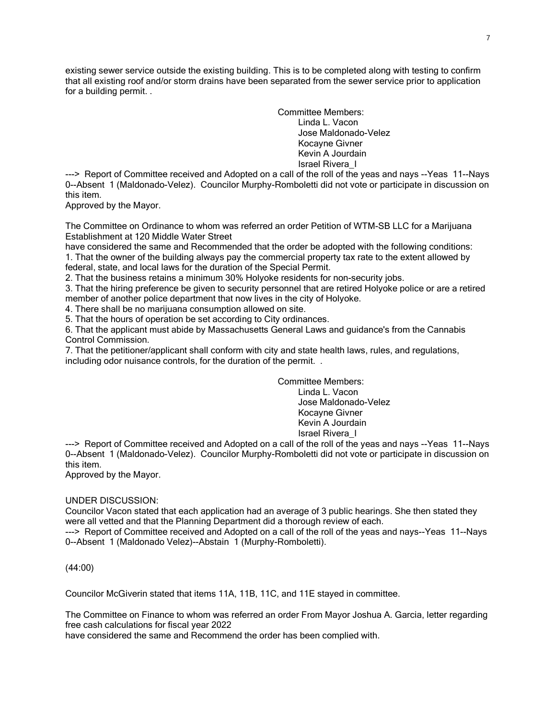existing sewer service outside the existing building. This is to be completed along with testing to confirm that all existing roof and/or storm drains have been separated from the sewer service prior to application for a building permit. .

> Committee Members: Linda L. Vacon Jose Maldonado-Velez Kocayne Givner Kevin A Jourdain Israel Rivera\_I

---> Report of Committee received and Adopted on a call of the roll of the yeas and nays --Yeas 11--Nays 0--Absent 1 (Maldonado-Velez). Councilor Murphy-Romboletti did not vote or participate in discussion on this item.

Approved by the Mayor.

The Committee on Ordinance to whom was referred an order Petition of WTM-SB LLC for a Marijuana Establishment at 120 Middle Water Street

have considered the same and Recommended that the order be adopted with the following conditions: 1. That the owner of the building always pay the commercial property tax rate to the extent allowed by federal, state, and local laws for the duration of the Special Permit.

2. That the business retains a minimum 30% Holyoke residents for non-security jobs.

3. That the hiring preference be given to security personnel that are retired Holyoke police or are a retired member of another police department that now lives in the city of Holyoke.

4. There shall be no marijuana consumption allowed on site.

5. That the hours of operation be set according to City ordinances.

6. That the applicant must abide by Massachusetts General Laws and guidance's from the Cannabis Control Commission.

7. That the petitioner/applicant shall conform with city and state health laws, rules, and regulations, including odor nuisance controls, for the duration of the permit. .

Committee Members:

Linda L. Vacon Jose Maldonado-Velez Kocayne Givner Kevin A Jourdain Israel Rivera\_I

---> Report of Committee received and Adopted on a call of the roll of the yeas and nays --Yeas 11--Nays 0--Absent 1 (Maldonado-Velez). Councilor Murphy-Romboletti did not vote or participate in discussion on this item.

Approved by the Mayor.

## UNDER DISCUSSION:

Councilor Vacon stated that each application had an average of 3 public hearings. She then stated they were all vetted and that the Planning Department did a thorough review of each.

---> Report of Committee received and Adopted on a call of the roll of the yeas and nays--Yeas 11--Nays 0--Absent 1 (Maldonado Velez)--Abstain 1 (Murphy-Romboletti).

(44:00)

Councilor McGiverin stated that items 11A, 11B, 11C, and 11E stayed in committee.

The Committee on Finance to whom was referred an order From Mayor Joshua A. Garcia, letter regarding free cash calculations for fiscal year 2022

have considered the same and Recommend the order has been complied with.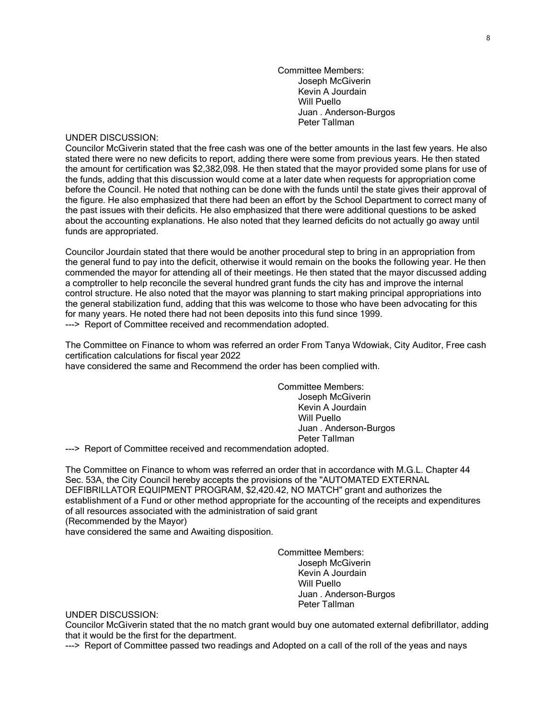Committee Members: Joseph McGiverin Kevin A Jourdain Will Puello Juan . Anderson-Burgos Peter Tallman

#### UNDER DISCUSSION:

Councilor McGiverin stated that the free cash was one of the better amounts in the last few years. He also stated there were no new deficits to report, adding there were some from previous years. He then stated the amount for certification was \$2,382,098. He then stated that the mayor provided some plans for use of the funds, adding that this discussion would come at a later date when requests for appropriation come before the Council. He noted that nothing can be done with the funds until the state gives their approval of the figure. He also emphasized that there had been an effort by the School Department to correct many of the past issues with their deficits. He also emphasized that there were additional questions to be asked about the accounting explanations. He also noted that they learned deficits do not actually go away until funds are appropriated.

Councilor Jourdain stated that there would be another procedural step to bring in an appropriation from the general fund to pay into the deficit, otherwise it would remain on the books the following year. He then commended the mayor for attending all of their meetings. He then stated that the mayor discussed adding a comptroller to help reconcile the several hundred grant funds the city has and improve the internal control structure. He also noted that the mayor was planning to start making principal appropriations into the general stabilization fund, adding that this was welcome to those who have been advocating for this for many years. He noted there had not been deposits into this fund since 1999. ---> Report of Committee received and recommendation adopted.

The Committee on Finance to whom was referred an order From Tanya Wdowiak, City Auditor, Free cash certification calculations for fiscal year 2022

have considered the same and Recommend the order has been complied with.

Committee Members: Joseph McGiverin Kevin A Jourdain Will Puello Juan . Anderson-Burgos Peter Tallman

---> Report of Committee received and recommendation adopted.

The Committee on Finance to whom was referred an order that in accordance with M.G.L. Chapter 44 Sec. 53A, the City Council hereby accepts the provisions of the "AUTOMATED EXTERNAL DEFIBRILLATOR EQUIPMENT PROGRAM, \$2,420.42, NO MATCH" grant and authorizes the establishment of a Fund or other method appropriate for the accounting of the receipts and expenditures of all resources associated with the administration of said grant (Recommended by the Mayor)

have considered the same and Awaiting disposition.

Committee Members: Joseph McGiverin Kevin A Jourdain Will Puello Juan . Anderson-Burgos Peter Tallman

UNDER DISCUSSION:

Councilor McGiverin stated that the no match grant would buy one automated external defibrillator, adding that it would be the first for the department.

---> Report of Committee passed two readings and Adopted on a call of the roll of the yeas and nays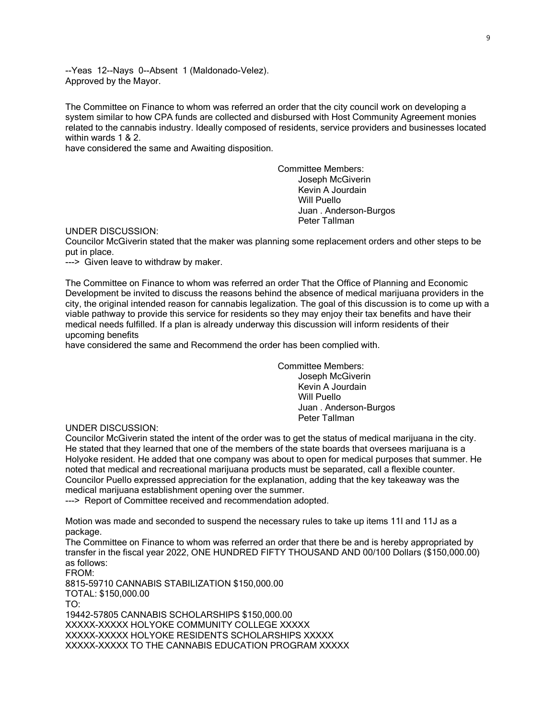--Yeas 12--Nays 0--Absent 1 (Maldonado-Velez). Approved by the Mayor.

The Committee on Finance to whom was referred an order that the city council work on developing a system similar to how CPA funds are collected and disbursed with Host Community Agreement monies related to the cannabis industry. Ideally composed of residents, service providers and businesses located within wards 1 & 2.

have considered the same and Awaiting disposition.

Committee Members: Joseph McGiverin Kevin A Jourdain Will Puello Juan . Anderson-Burgos Peter Tallman

UNDER DISCUSSION:

Councilor McGiverin stated that the maker was planning some replacement orders and other steps to be put in place.

---> Given leave to withdraw by maker.

The Committee on Finance to whom was referred an order That the Office of Planning and Economic Development be invited to discuss the reasons behind the absence of medical marijuana providers in the city, the original intended reason for cannabis legalization. The goal of this discussion is to come up with a viable pathway to provide this service for residents so they may enjoy their tax benefits and have their medical needs fulfilled. If a plan is already underway this discussion will inform residents of their upcoming benefits

have considered the same and Recommend the order has been complied with.

Committee Members: Joseph McGiverin Kevin A Jourdain Will Puello Juan . Anderson-Burgos Peter Tallman

UNDER DISCUSSION:

Councilor McGiverin stated the intent of the order was to get the status of medical marijuana in the city. He stated that they learned that one of the members of the state boards that oversees marijuana is a Holyoke resident. He added that one company was about to open for medical purposes that summer. He noted that medical and recreational marijuana products must be separated, call a flexible counter. Councilor Puello expressed appreciation for the explanation, adding that the key takeaway was the medical marijuana establishment opening over the summer.

---> Report of Committee received and recommendation adopted.

Motion was made and seconded to suspend the necessary rules to take up items 11I and 11J as a package.

The Committee on Finance to whom was referred an order that there be and is hereby appropriated by transfer in the fiscal year 2022, ONE HUNDRED FIFTY THOUSAND AND 00/100 Dollars (\$150,000.00) as follows:

FROM: 8815-59710 CANNABIS STABILIZATION \$150,000.00 TOTAL: \$150,000.00 TO: 19442-57805 CANNABIS SCHOLARSHIPS \$150,000.00 XXXXX-XXXXX HOLYOKE COMMUNITY COLLEGE XXXXX XXXXX-XXXXX HOLYOKE RESIDENTS SCHOLARSHIPS XXXXX XXXXX-XXXXX TO THE CANNABIS EDUCATION PROGRAM XXXXX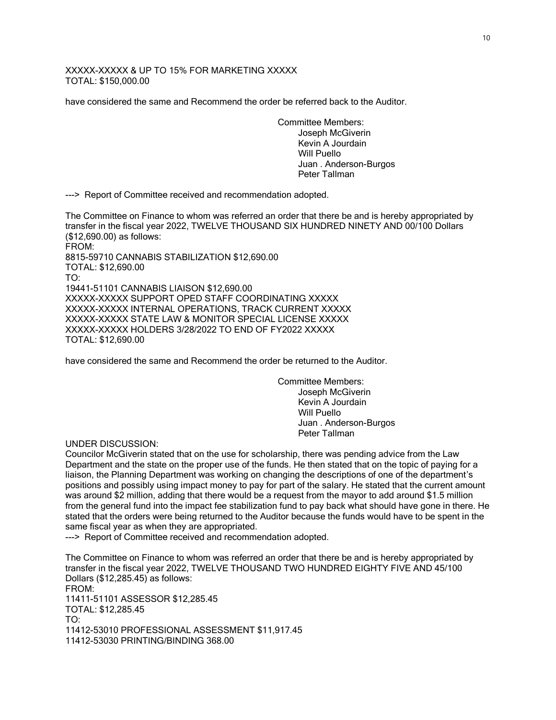XXXXX-XXXXX & UP TO 15% FOR MARKETING XXXXX TOTAL: \$150,000.00

have considered the same and Recommend the order be referred back to the Auditor.

Committee Members: Joseph McGiverin Kevin A Jourdain Will Puello Juan . Anderson-Burgos Peter Tallman

---> Report of Committee received and recommendation adopted.

The Committee on Finance to whom was referred an order that there be and is hereby appropriated by transfer in the fiscal year 2022, TWELVE THOUSAND SIX HUNDRED NINETY AND 00/100 Dollars (\$12,690.00) as follows:

FROM: 8815-59710 CANNABIS STABILIZATION \$12,690.00 TOTAL: \$12,690.00 TO: 19441-51101 CANNABIS LIAISON \$12,690.00 XXXXX-XXXXX SUPPORT OPED STAFF COORDINATING XXXXX XXXXX-XXXXX INTERNAL OPERATIONS, TRACK CURRENT XXXXX XXXXX-XXXXX STATE LAW & MONITOR SPECIAL LICENSE XXXXX XXXXX-XXXXX HOLDERS 3/28/2022 TO END OF FY2022 XXXXX TOTAL: \$12,690.00

have considered the same and Recommend the order be returned to the Auditor.

Committee Members: Joseph McGiverin Kevin A Jourdain Will Puello Juan . Anderson-Burgos Peter Tallman

UNDER DISCUSSION:

Councilor McGiverin stated that on the use for scholarship, there was pending advice from the Law Department and the state on the proper use of the funds. He then stated that on the topic of paying for a liaison, the Planning Department was working on changing the descriptions of one of the department's positions and possibly using impact money to pay for part of the salary. He stated that the current amount was around \$2 million, adding that there would be a request from the mayor to add around \$1.5 million from the general fund into the impact fee stabilization fund to pay back what should have gone in there. He stated that the orders were being returned to the Auditor because the funds would have to be spent in the same fiscal year as when they are appropriated.

---> Report of Committee received and recommendation adopted.

The Committee on Finance to whom was referred an order that there be and is hereby appropriated by transfer in the fiscal year 2022, TWELVE THOUSAND TWO HUNDRED EIGHTY FIVE AND 45/100 Dollars (\$12,285.45) as follows: FROM: 11411-51101 ASSESSOR \$12,285.45 TOTAL: \$12,285.45 TO: 11412-53010 PROFESSIONAL ASSESSMENT \$11,917.45 11412-53030 PRINTING/BINDING 368.00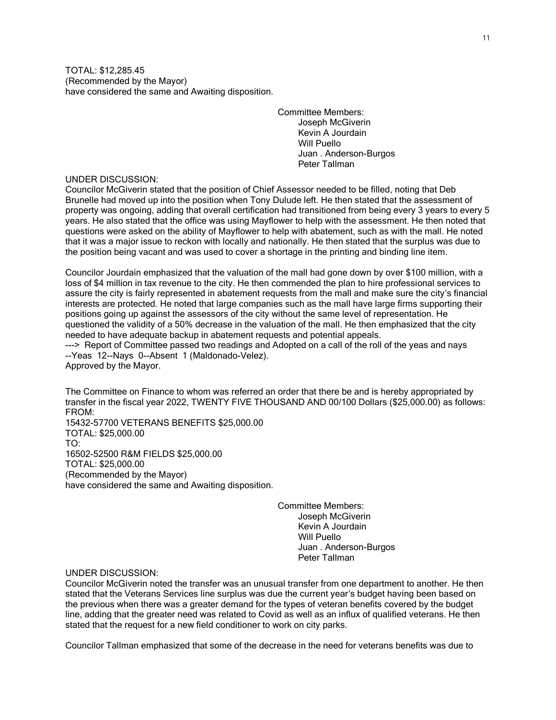TOTAL: \$12,285.45 (Recommended by the Mayor) have considered the same and Awaiting disposition.

> Committee Members: Joseph McGiverin Kevin A Jourdain Will Puello Juan . Anderson-Burgos Peter Tallman

UNDER DISCUSSION:

Councilor McGiverin stated that the position of Chief Assessor needed to be filled, noting that Deb Brunelle had moved up into the position when Tony Dulude left. He then stated that the assessment of property was ongoing, adding that overall certification had transitioned from being every 3 years to every 5 years. He also stated that the office was using Mayflower to help with the assessment. He then noted that questions were asked on the ability of Mayflower to help with abatement, such as with the mall. He noted that it was a major issue to reckon with locally and nationally. He then stated that the surplus was due to the position being vacant and was used to cover a shortage in the printing and binding line item.

Councilor Jourdain emphasized that the valuation of the mall had gone down by over \$100 million, with a loss of \$4 million in tax revenue to the city. He then commended the plan to hire professional services to assure the city is fairly represented in abatement requests from the mall and make sure the city's financial interests are protected. He noted that large companies such as the mall have large firms supporting their positions going up against the assessors of the city without the same level of representation. He questioned the validity of a 50% decrease in the valuation of the mall. He then emphasized that the city needed to have adequate backup in abatement requests and potential appeals.

---> Report of Committee passed two readings and Adopted on a call of the roll of the yeas and nays --Yeas 12--Nays 0--Absent 1 (Maldonado-Velez).

Approved by the Mayor.

The Committee on Finance to whom was referred an order that there be and is hereby appropriated by transfer in the fiscal year 2022, TWENTY FIVE THOUSAND AND 00/100 Dollars (\$25,000.00) as follows: FROM:

15432-57700 VETERANS BENEFITS \$25,000.00 TOTAL: \$25,000.00 TO: 16502-52500 R&M FIELDS \$25,000.00 TOTAL: \$25,000.00 (Recommended by the Mayor) have considered the same and Awaiting disposition.

> Committee Members: Joseph McGiverin Kevin A Jourdain Will Puello Juan . Anderson-Burgos Peter Tallman

# UNDER DISCUSSION:

Councilor McGiverin noted the transfer was an unusual transfer from one department to another. He then stated that the Veterans Services line surplus was due the current year's budget having been based on the previous when there was a greater demand for the types of veteran benefits covered by the budget line, adding that the greater need was related to Covid as well as an influx of qualified veterans. He then stated that the request for a new field conditioner to work on city parks.

Councilor Tallman emphasized that some of the decrease in the need for veterans benefits was due to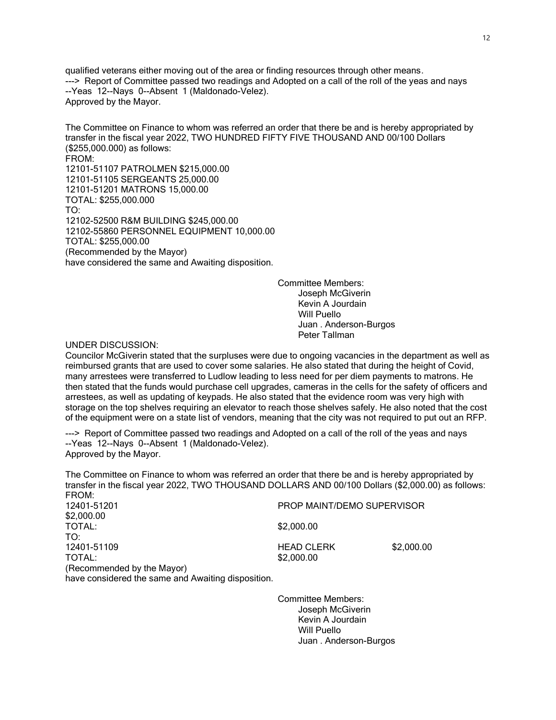qualified veterans either moving out of the area or finding resources through other means. ---> Report of Committee passed two readings and Adopted on a call of the roll of the yeas and nays --Yeas 12--Nays 0--Absent 1 (Maldonado-Velez). Approved by the Mayor.

The Committee on Finance to whom was referred an order that there be and is hereby appropriated by transfer in the fiscal year 2022, TWO HUNDRED FIFTY FIVE THOUSAND AND 00/100 Dollars (\$255,000.000) as follows: FROM: 12101-51107 PATROLMEN \$215,000.00 12101-51105 SERGEANTS 25,000.00 12101-51201 MATRONS 15,000.00 TOTAL: \$255,000.000 TO: 12102-52500 R&M BUILDING \$245,000.00 12102-55860 PERSONNEL EQUIPMENT 10,000.00 TOTAL: \$255,000.00 (Recommended by the Mayor) have considered the same and Awaiting disposition.

> Committee Members: Joseph McGiverin Kevin A Jourdain Will Puello Juan . Anderson-Burgos Peter Tallman

#### UNDER DISCUSSION:

Councilor McGiverin stated that the surpluses were due to ongoing vacancies in the department as well as reimbursed grants that are used to cover some salaries. He also stated that during the height of Covid, many arrestees were transferred to Ludlow leading to less need for per diem payments to matrons. He then stated that the funds would purchase cell upgrades, cameras in the cells for the safety of officers and arrestees, as well as updating of keypads. He also stated that the evidence room was very high with storage on the top shelves requiring an elevator to reach those shelves safely. He also noted that the cost of the equipment were on a state list of vendors, meaning that the city was not required to put out an RFP.

---> Report of Committee passed two readings and Adopted on a call of the roll of the yeas and nays --Yeas 12--Nays 0--Absent 1 (Maldonado-Velez). Approved by the Mayor.

The Committee on Finance to whom was referred an order that there be and is hereby appropriated by transfer in the fiscal year 2022, TWO THOUSAND DOLLARS AND 00/100 Dollars (\$2,000.00) as follows: FROM:<br>12401-51201 PROP MAINT/DEMO SUPERVISOR \$2,000.00 TOTAL: \$2,000.00 TO: 12401-51109 HEAD CLERK \$2,000.00 \$2,000.00

(Recommended by the Mayor) have considered the same and Awaiting disposition.

> Committee Members: Joseph McGiverin Kevin A Jourdain Will Puello Juan . Anderson-Burgos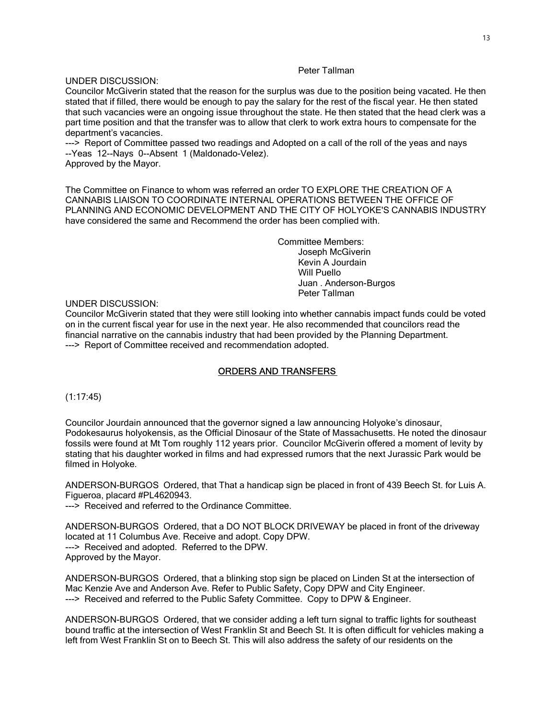## Peter Tallman

UNDER DISCUSSION:

Councilor McGiverin stated that the reason for the surplus was due to the position being vacated. He then stated that if filled, there would be enough to pay the salary for the rest of the fiscal year. He then stated that such vacancies were an ongoing issue throughout the state. He then stated that the head clerk was a part time position and that the transfer was to allow that clerk to work extra hours to compensate for the department's vacancies.

---> Report of Committee passed two readings and Adopted on a call of the roll of the yeas and nays --Yeas 12--Nays 0--Absent 1 (Maldonado-Velez). Approved by the Mayor.

The Committee on Finance to whom was referred an order TO EXPLORE THE CREATION OF A CANNABIS LIAISON TO COORDINATE INTERNAL OPERATIONS BETWEEN THE OFFICE OF PLANNING AND ECONOMIC DEVELOPMENT AND THE CITY OF HOLYOKE'S CANNABIS INDUSTRY have considered the same and Recommend the order has been complied with.

> Committee Members: Joseph McGiverin Kevin A Jourdain Will Puello Juan . Anderson-Burgos Peter Tallman

#### UNDER DISCUSSION:

Councilor McGiverin stated that they were still looking into whether cannabis impact funds could be voted on in the current fiscal year for use in the next year. He also recommended that councilors read the financial narrative on the cannabis industry that had been provided by the Planning Department. ---> Report of Committee received and recommendation adopted.

#### ORDERS AND TRANSFERS

(1:17:45)

Councilor Jourdain announced that the governor signed a law announcing Holyoke's dinosaur, Podokesaurus holyokensis, as the Official Dinosaur of the State of Massachusetts. He noted the dinosaur fossils were found at Mt Tom roughly 112 years prior. Councilor McGiverin offered a moment of levity by stating that his daughter worked in films and had expressed rumors that the next Jurassic Park would be filmed in Holyoke.

ANDERSON-BURGOS Ordered, that That a handicap sign be placed in front of 439 Beech St. for Luis A. Figueroa, placard #PL4620943.

---> Received and referred to the Ordinance Committee.

ANDERSON-BURGOS Ordered, that a DO NOT BLOCK DRIVEWAY be placed in front of the driveway located at 11 Columbus Ave. Receive and adopt. Copy DPW. ---> Received and adopted. Referred to the DPW. Approved by the Mayor.

ANDERSON-BURGOS Ordered, that a blinking stop sign be placed on Linden St at the intersection of Mac Kenzie Ave and Anderson Ave. Refer to Public Safety, Copy DPW and City Engineer. ---> Received and referred to the Public Safety Committee. Copy to DPW & Engineer.

ANDERSON-BURGOS Ordered, that we consider adding a left turn signal to traffic lights for southeast bound traffic at the intersection of West Franklin St and Beech St. It is often difficult for vehicles making a left from West Franklin St on to Beech St. This will also address the safety of our residents on the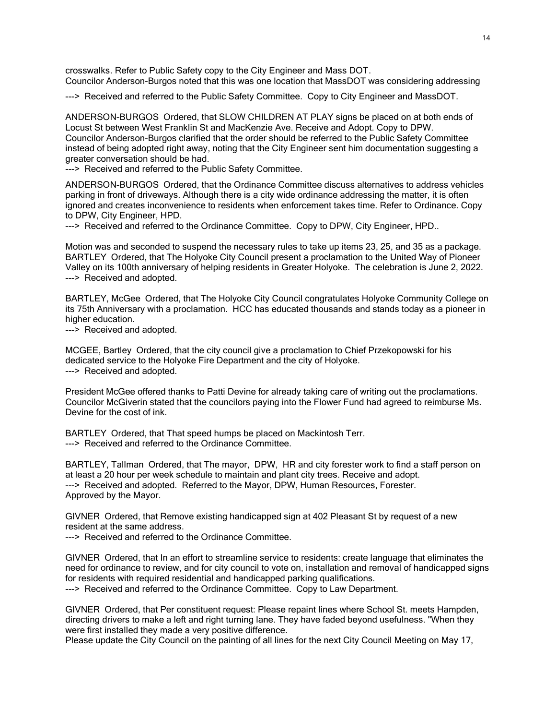crosswalks. Refer to Public Safety copy to the City Engineer and Mass DOT. Councilor Anderson-Burgos noted that this was one location that MassDOT was considering addressing

---> Received and referred to the Public Safety Committee. Copy to City Engineer and MassDOT.

ANDERSON-BURGOS Ordered, that SLOW CHILDREN AT PLAY signs be placed on at both ends of Locust St between West Franklin St and MacKenzie Ave. Receive and Adopt. Copy to DPW. Councilor Anderson-Burgos clarified that the order should be referred to the Public Safety Committee instead of being adopted right away, noting that the City Engineer sent him documentation suggesting a greater conversation should be had.

---> Received and referred to the Public Safety Committee.

ANDERSON-BURGOS Ordered, that the Ordinance Committee discuss alternatives to address vehicles parking in front of driveways. Although there is a city wide ordinance addressing the matter, it is often ignored and creates inconvenience to residents when enforcement takes time. Refer to Ordinance. Copy to DPW, City Engineer, HPD.

---> Received and referred to the Ordinance Committee. Copy to DPW, City Engineer, HPD..

Motion was and seconded to suspend the necessary rules to take up items 23, 25, and 35 as a package. BARTLEY Ordered, that The Holyoke City Council present a proclamation to the United Way of Pioneer Valley on its 100th anniversary of helping residents in Greater Holyoke. The celebration is June 2, 2022. ---> Received and adopted.

BARTLEY, McGee Ordered, that The Holyoke City Council congratulates Holyoke Community College on its 75th Anniversary with a proclamation. HCC has educated thousands and stands today as a pioneer in higher education.

---> Received and adopted.

MCGEE, Bartley Ordered, that the city council give a proclamation to Chief Przekopowski for his dedicated service to the Holyoke Fire Department and the city of Holyoke. ---> Received and adopted.

President McGee offered thanks to Patti Devine for already taking care of writing out the proclamations. Councilor McGiverin stated that the councilors paying into the Flower Fund had agreed to reimburse Ms. Devine for the cost of ink.

BARTLEY Ordered, that That speed humps be placed on Mackintosh Terr. ---> Received and referred to the Ordinance Committee.

BARTLEY, Tallman Ordered, that The mayor, DPW, HR and city forester work to find a staff person on at least a 20 hour per week schedule to maintain and plant city trees. Receive and adopt. ---> Received and adopted. Referred to the Mayor, DPW, Human Resources, Forester. Approved by the Mayor.

GIVNER Ordered, that Remove existing handicapped sign at 402 Pleasant St by request of a new resident at the same address.

---> Received and referred to the Ordinance Committee.

GIVNER Ordered, that In an effort to streamline service to residents: create language that eliminates the need for ordinance to review, and for city council to vote on, installation and removal of handicapped signs for residents with required residential and handicapped parking qualifications. ---> Received and referred to the Ordinance Committee. Copy to Law Department.

GIVNER Ordered, that Per constituent request: Please repaint lines where School St. meets Hampden, directing drivers to make a left and right turning lane. They have faded beyond usefulness. "When they were first installed they made a very positive difference.

Please update the City Council on the painting of all lines for the next City Council Meeting on May 17,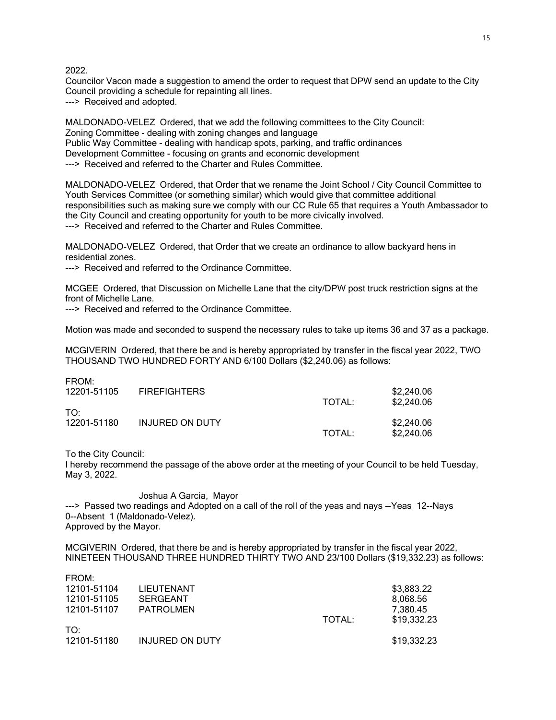2022.

Councilor Vacon made a suggestion to amend the order to request that DPW send an update to the City Council providing a schedule for repainting all lines. ---> Received and adopted.

MALDONADO-VELEZ Ordered, that we add the following committees to the City Council: Zoning Committee - dealing with zoning changes and language Public Way Committee - dealing with handicap spots, parking, and traffic ordinances Development Committee - focusing on grants and economic development ---> Received and referred to the Charter and Rules Committee.

MALDONADO-VELEZ Ordered, that Order that we rename the Joint School / City Council Committee to Youth Services Committee (or something similar) which would give that committee additional responsibilities such as making sure we comply with our CC Rule 65 that requires a Youth Ambassador to the City Council and creating opportunity for youth to be more civically involved. ---> Received and referred to the Charter and Rules Committee.

MALDONADO-VELEZ Ordered, that Order that we create an ordinance to allow backyard hens in residential zones.

---> Received and referred to the Ordinance Committee.

MCGEE Ordered, that Discussion on Michelle Lane that the city/DPW post truck restriction signs at the front of Michelle Lane.

---> Received and referred to the Ordinance Committee.

Motion was made and seconded to suspend the necessary rules to take up items 36 and 37 as a package.

MCGIVERIN Ordered, that there be and is hereby appropriated by transfer in the fiscal year 2022, TWO THOUSAND TWO HUNDRED FORTY AND 6/100 Dollars (\$2,240.06) as follows:

| FROM:<br>12201-51105 | <b>FIREFIGHTERS</b>    | TOTAL: | \$2,240.06<br>\$2,240.06 |
|----------------------|------------------------|--------|--------------------------|
| TO:<br>12201-51180   | <b>INJURED ON DUTY</b> | TOTAL: | \$2,240.06<br>\$2,240.06 |

To the City Council:

I hereby recommend the passage of the above order at the meeting of your Council to be held Tuesday, May 3, 2022.

#### Joshua A Garcia, Mayor ---> Passed two readings and Adopted on a call of the roll of the yeas and nays --Yeas 12--Nays 0--Absent 1 (Maldonado-Velez). Approved by the Mayor.

MCGIVERIN Ordered, that there be and is hereby appropriated by transfer in the fiscal year 2022, NINETEEN THOUSAND THREE HUNDRED THIRTY TWO AND 23/100 Dollars (\$19,332.23) as follows:

| FROM:       |                        |        |             |
|-------------|------------------------|--------|-------------|
| 12101-51104 | <b>LIEUTENANT</b>      |        | \$3,883.22  |
| 12101-51105 | <b>SERGEANT</b>        |        | 8,068.56    |
| 12101-51107 | <b>PATROLMEN</b>       |        | 7.380.45    |
|             |                        | TOTAL: | \$19,332.23 |
| TO:         |                        |        |             |
| 12101-51180 | <b>INJURED ON DUTY</b> |        | \$19,332.23 |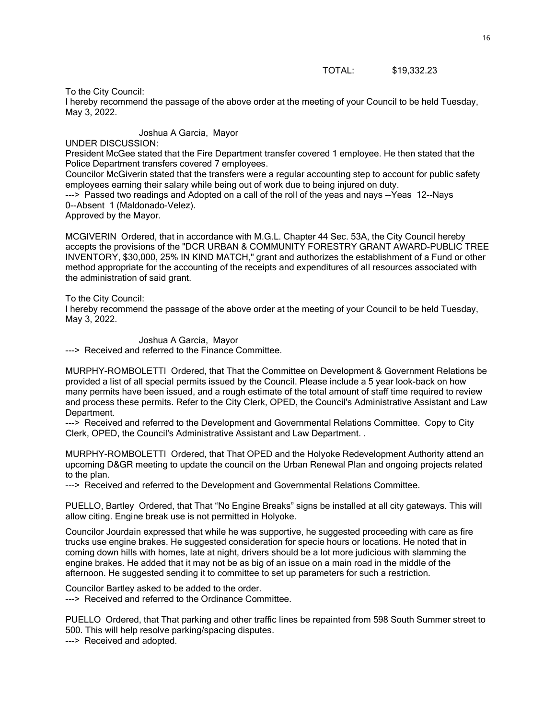#### TOTAL: \$19,332.23

#### To the City Council:

I hereby recommend the passage of the above order at the meeting of your Council to be held Tuesday, May 3, 2022.

Joshua A Garcia, Mayor

### UNDER DISCUSSION:

President McGee stated that the Fire Department transfer covered 1 employee. He then stated that the Police Department transfers covered 7 employees.

Councilor McGiverin stated that the transfers were a regular accounting step to account for public safety employees earning their salary while being out of work due to being injured on duty.

---> Passed two readings and Adopted on a call of the roll of the yeas and nays --Yeas 12--Nays 0--Absent 1 (Maldonado-Velez).

Approved by the Mayor.

MCGIVERIN Ordered, that in accordance with M.G.L. Chapter 44 Sec. 53A, the City Council hereby accepts the provisions of the "DCR URBAN & COMMUNITY FORESTRY GRANT AWARD-PUBLIC TREE INVENTORY, \$30,000, 25% IN KIND MATCH," grant and authorizes the establishment of a Fund or other method appropriate for the accounting of the receipts and expenditures of all resources associated with the administration of said grant.

#### To the City Council:

I hereby recommend the passage of the above order at the meeting of your Council to be held Tuesday, May 3, 2022.

Joshua A Garcia, Mayor ---> Received and referred to the Finance Committee.

MURPHY-ROMBOLETTI Ordered, that That the Committee on Development & Government Relations be provided a list of all special permits issued by the Council. Please include a 5 year look-back on how many permits have been issued, and a rough estimate of the total amount of staff time required to review and process these permits. Refer to the City Clerk, OPED, the Council's Administrative Assistant and Law Department.

---> Received and referred to the Development and Governmental Relations Committee. Copy to City Clerk, OPED, the Council's Administrative Assistant and Law Department. .

MURPHY-ROMBOLETTI Ordered, that That OPED and the Holyoke Redevelopment Authority attend an upcoming D&GR meeting to update the council on the Urban Renewal Plan and ongoing projects related to the plan.

---> Received and referred to the Development and Governmental Relations Committee.

PUELLO, Bartley Ordered, that That "No Engine Breaks" signs be installed at all city gateways. This will allow citing. Engine break use is not permitted in Holyoke.

Councilor Jourdain expressed that while he was supportive, he suggested proceeding with care as fire trucks use engine brakes. He suggested consideration for specie hours or locations. He noted that in coming down hills with homes, late at night, drivers should be a lot more judicious with slamming the engine brakes. He added that it may not be as big of an issue on a main road in the middle of the afternoon. He suggested sending it to committee to set up parameters for such a restriction.

Councilor Bartley asked to be added to the order. ---> Received and referred to the Ordinance Committee.

PUELLO Ordered, that That parking and other traffic lines be repainted from 598 South Summer street to 500. This will help resolve parking/spacing disputes.

---> Received and adopted.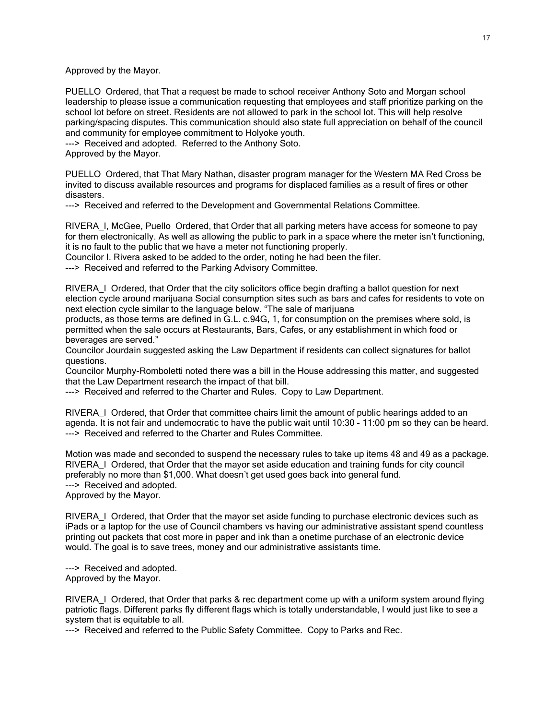Approved by the Mayor.

PUELLO Ordered, that That a request be made to school receiver Anthony Soto and Morgan school leadership to please issue a communication requesting that employees and staff prioritize parking on the school lot before on street. Residents are not allowed to park in the school lot. This will help resolve parking/spacing disputes. This communication should also state full appreciation on behalf of the council and community for employee commitment to Holyoke youth.

---> Received and adopted. Referred to the Anthony Soto.

Approved by the Mayor.

PUELLO Ordered, that That Mary Nathan, disaster program manager for the Western MA Red Cross be invited to discuss available resources and programs for displaced families as a result of fires or other disasters.

---> Received and referred to the Development and Governmental Relations Committee.

RIVERA\_I, McGee, Puello Ordered, that Order that all parking meters have access for someone to pay for them electronically. As well as allowing the public to park in a space where the meter isn't functioning, it is no fault to the public that we have a meter not functioning properly.

Councilor I. Rivera asked to be added to the order, noting he had been the filer.

---> Received and referred to the Parking Advisory Committee.

RIVERA\_I Ordered, that Order that the city solicitors office begin drafting a ballot question for next election cycle around marijuana Social consumption sites such as bars and cafes for residents to vote on next election cycle similar to the language below. "The sale of marijuana

products, as those terms are defined in G.L. c.94G, 1, for consumption on the premises where sold, is permitted when the sale occurs at Restaurants, Bars, Cafes, or any establishment in which food or beverages are served."

Councilor Jourdain suggested asking the Law Department if residents can collect signatures for ballot questions.

Councilor Murphy-Romboletti noted there was a bill in the House addressing this matter, and suggested that the Law Department research the impact of that bill.

---> Received and referred to the Charter and Rules. Copy to Law Department.

RIVERA\_I Ordered, that Order that committee chairs limit the amount of public hearings added to an agenda. It is not fair and undemocratic to have the public wait until 10:30 - 11:00 pm so they can be heard. ---> Received and referred to the Charter and Rules Committee.

Motion was made and seconded to suspend the necessary rules to take up items 48 and 49 as a package. RIVERA\_I Ordered, that Order that the mayor set aside education and training funds for city council preferably no more than \$1,000. What doesn't get used goes back into general fund. ---> Received and adopted. Approved by the Mayor.

RIVERA I Ordered, that Order that the mayor set aside funding to purchase electronic devices such as iPads or a laptop for the use of Council chambers vs having our administrative assistant spend countless printing out packets that cost more in paper and ink than a onetime purchase of an electronic device would. The goal is to save trees, money and our administrative assistants time.

---> Received and adopted. Approved by the Mayor.

RIVERA\_I Ordered, that Order that parks & rec department come up with a uniform system around flying patriotic flags. Different parks fly different flags which is totally understandable, I would just like to see a system that is equitable to all.

---> Received and referred to the Public Safety Committee. Copy to Parks and Rec.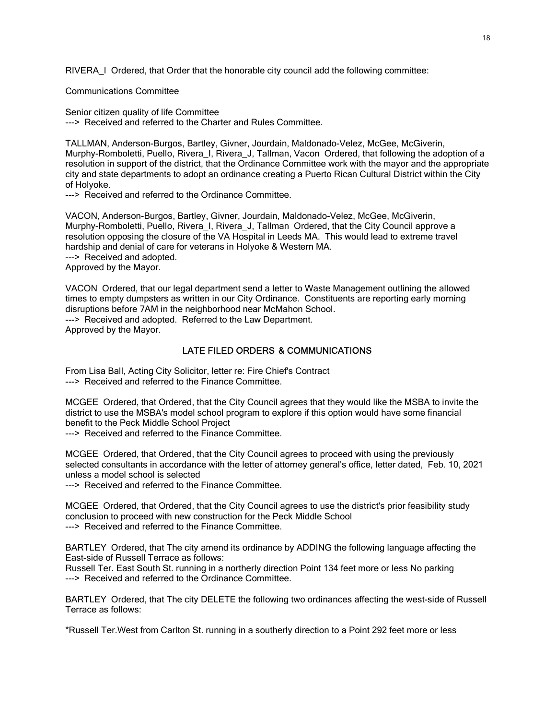RIVERA\_I Ordered, that Order that the honorable city council add the following committee:

Communications Committee

Senior citizen quality of life Committee ---> Received and referred to the Charter and Rules Committee.

TALLMAN, Anderson-Burgos, Bartley, Givner, Jourdain, Maldonado-Velez, McGee, McGiverin, Murphy-Romboletti, Puello, Rivera\_I, Rivera\_J, Tallman, Vacon Ordered, that following the adoption of a resolution in support of the district, that the Ordinance Committee work with the mayor and the appropriate city and state departments to adopt an ordinance creating a Puerto Rican Cultural District within the City of Holyoke.

---> Received and referred to the Ordinance Committee.

VACON, Anderson-Burgos, Bartley, Givner, Jourdain, Maldonado-Velez, McGee, McGiverin, Murphy-Romboletti, Puello, Rivera\_I, Rivera\_J, Tallman Ordered, that the City Council approve a resolution opposing the closure of the VA Hospital in Leeds MA. This would lead to extreme travel hardship and denial of care for veterans in Holyoke & Western MA. ---> Received and adopted.

Approved by the Mayor.

VACON Ordered, that our legal department send a letter to Waste Management outlining the allowed times to empty dumpsters as written in our City Ordinance. Constituents are reporting early morning disruptions before 7AM in the neighborhood near McMahon School. ---> Received and adopted. Referred to the Law Department.

Approved by the Mayor.

## LATE FILED ORDERS & COMMUNICATIONS

From Lisa Ball, Acting City Solicitor, letter re: Fire Chief's Contract ---> Received and referred to the Finance Committee.

MCGEE Ordered, that Ordered, that the City Council agrees that they would like the MSBA to invite the district to use the MSBA's model school program to explore if this option would have some financial benefit to the Peck Middle School Project

---> Received and referred to the Finance Committee.

MCGEE Ordered, that Ordered, that the City Council agrees to proceed with using the previously selected consultants in accordance with the letter of attorney general's office, letter dated, Feb. 10, 2021 unless a model school is selected

---> Received and referred to the Finance Committee.

MCGEE Ordered, that Ordered, that the City Council agrees to use the district's prior feasibility study conclusion to proceed with new construction for the Peck Middle School ---> Received and referred to the Finance Committee.

BARTLEY Ordered, that The city amend its ordinance by ADDING the following language affecting the East-side of Russell Terrace as follows:

Russell Ter. East South St. running in a northerly direction Point 134 feet more or less No parking ---> Received and referred to the Ordinance Committee.

BARTLEY Ordered, that The city DELETE the following two ordinances affecting the west-side of Russell Terrace as follows:

\*Russell Ter.West from Carlton St. running in a southerly direction to a Point 292 feet more or less